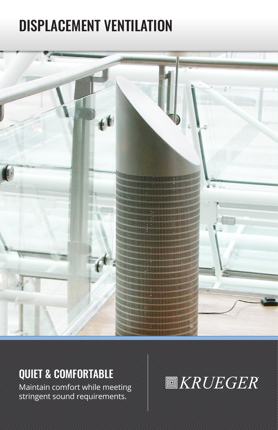# DISPLACEMENT VENTILATION



# QUIET & COMFORTABLE

Maintain comfort while meeting stringent sound requirements.